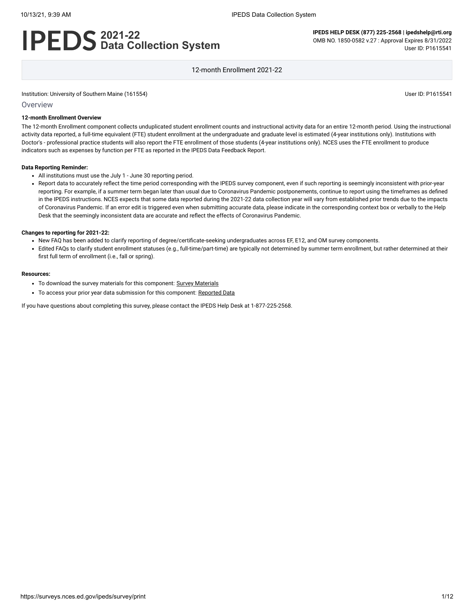# **2021-22 Data Collection System**

**IPEDS HELP DESK (877) 225-2568 | ipedshelp@rti.org** OMB NO. 1850-0582 v.27 : Approval Expires 8/31/2022 User ID: P1615541

12-month Enrollment 2021-22

Institution: University of Southern Maine (161554) User ID: P1615541

### Overview

## **12-month Enrollment Overview**

The 12-month Enrollment component collects unduplicated student enrollment counts and instructional activity data for an entire 12-month period. Using the instructional activity data reported, a full-time equivalent (FTE) student enrollment at the undergraduate and graduate level is estimated (4-year institutions only). Institutions with Doctor's - professional practice students will also report the FTE enrollment of those students (4-year institutions only). NCES uses the FTE enrollment to produce indicators such as expenses by function per FTE as reported in the IPEDS Data Feedback Report.

### **Data Reporting Reminder:**

- All institutions must use the July 1 June 30 reporting period.
- Report data to accurately reflect the time period corresponding with the IPEDS survey component, even if such reporting is seemingly inconsistent with prior-year reporting. For example, if a summer term began later than usual due to Coronavirus Pandemic postponements, continue to report using the timeframes as defined in the IPEDS instructions. NCES expects that some data reported during the 2021-22 data collection year will vary from established prior trends due to the impacts of Coronavirus Pandemic. If an error edit is triggered even when submitting accurate data, please indicate in the corresponding context box or verbally to the Help Desk that the seemingly inconsistent data are accurate and reflect the effects of Coronavirus Pandemic.

### **Changes to reporting for 2021-22:**

- New FAQ has been added to clarify reporting of degree/certificate-seeking undergraduates across EF, E12, and OM survey components.
- Edited FAQs to clarify student enrollment statuses (e.g., full-time/part-time) are typically not determined by summer term enrollment, but rather determined at their first full term of enrollment (i.e., fall or spring).

#### **Resources:**

- To download the survey materials for this component: Survey [Materials](https://surveys.nces.ed.gov/ipeds/public/survey-materials/index)
- To access your prior year data submission for this component: [Reported Data](javascript:openReportedData(161554, 9))

If you have questions about completing this survey, please contact the IPEDS Help Desk at 1-877-225-2568.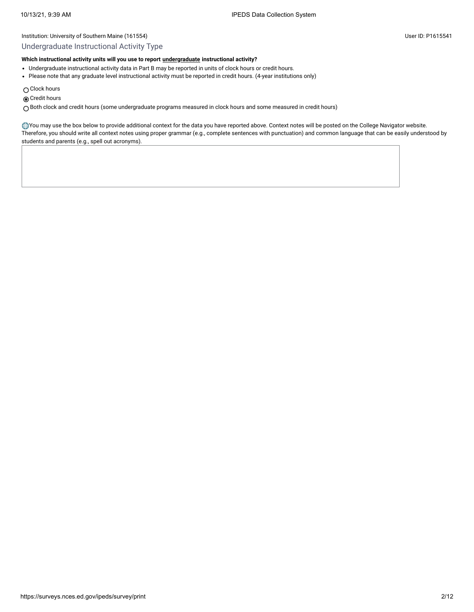# Undergraduate Instructional Activity Type

# **Which instructional activity units will you use to report [undergraduate](javascript:openglossary(677)) instructional activity?**

- Undergraduate instructional activity data in Part B may be reported in units of clock hours or credit hours.
- Please note that any graduate level instructional activity must be reported in credit hours. (4-year institutions only)
- $\bigcirc$  Clock hours
- Credit hours

Both clock and credit hours (some undergraduate programs measured in clock hours and some measured in credit hours)

You may use the box below to provide additional context for the data you have reported above. Context notes will be posted on the College Navigator website. Therefore, you should write all context notes using proper grammar (e.g., complete sentences with punctuation) and common language that can be easily understood by students and parents (e.g., spell out acronyms).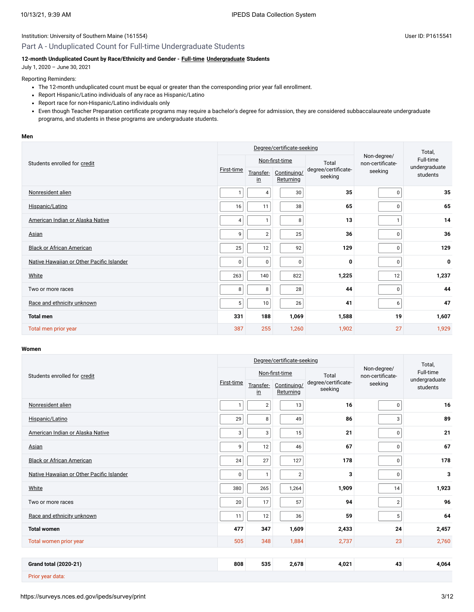# Part A - Unduplicated Count for Full-time Undergraduate Students

### **12-month Unduplicated Count by Race/Ethnicity and Gender - [Full-time](javascript:openglossary(259)) [Undergraduate](javascript:openglossary(677)) Students**

July 1, 2020 – June 30, 2021

### Reporting Reminders:

- The 12-month unduplicated count must be equal or greater than the corresponding prior year fall enrollment.
- Report Hispanic/Latino individuals of any race as Hispanic/Latino
- Report race for non-Hispanic/Latino individuals only
- Even though Teacher Preparation certificate programs may require a bachelor's degree for admission, they are considered subbaccalaureate undergraduate programs, and students in these programs are undergraduate students.

#### **Men**

|                                           | Degree/certificate-seeking |                            |                                 |                                |                                 | Total,                    |  |
|-------------------------------------------|----------------------------|----------------------------|---------------------------------|--------------------------------|---------------------------------|---------------------------|--|
| Students enrolled for credit              |                            | Non-first-time             |                                 | Total                          | Non-degree/<br>non-certificate- | Full-time                 |  |
|                                           | First-time                 | Transfer-<br>$\mathsf{in}$ | Continuing/<br><b>Returning</b> | degree/certificate-<br>seeking | seeking                         | undergraduate<br>students |  |
| Nonresident alien                         | $\mathbf{1}$               | 4                          | $30\,$                          | 35                             | $\mathbf 0$                     | 35                        |  |
| Hispanic/Latino                           | 16                         | 11                         | 38                              | 65                             | $\mathbf 0$                     | 65                        |  |
| American Indian or Alaska Native          | 4                          |                            | 8                               | 13                             |                                 | 14                        |  |
| Asian                                     | 9                          | $\overline{2}$             | 25                              | 36                             | $\mathbf 0$                     | 36                        |  |
| <b>Black or African American</b>          | 25                         | 12                         | 92                              | 129                            | $\mathbf 0$                     | 129                       |  |
| Native Hawaiian or Other Pacific Islander | $\mathbf 0$                | $\pmb{0}$                  | $\pmb{0}$                       | 0                              | 0                               | $\mathbf 0$               |  |
| White                                     | 263                        | 140                        | 822                             | 1,225                          | 12                              | 1,237                     |  |
| Two or more races                         | 8                          | 8                          | 28                              | 44                             | $\mathbf 0$                     | 44                        |  |
| Race and ethnicity unknown                | 5 <sup>1</sup>             | 10                         | 26                              | 41                             | 6                               | 47                        |  |
| <b>Total men</b>                          | 331                        | 188                        | 1,069                           | 1,588                          | 19                              | 1,607                     |  |
| Total men prior year                      | 387                        | 255                        | 1,260                           | 1,902                          | 27                              | 1,929                     |  |

### **Women**

|                                           | Degree/certificate-seeking |                            |                          |                                |                                 | Total,                    |  |
|-------------------------------------------|----------------------------|----------------------------|--------------------------|--------------------------------|---------------------------------|---------------------------|--|
| Students enrolled for credit              |                            | Non-first-time             |                          | Total                          | Non-degree/<br>non-certificate- | Full-time                 |  |
|                                           | First-time                 | Transfer-<br>$\mathsf{in}$ | Continuing/<br>Returning | degree/certificate-<br>seeking | seeking                         | undergraduate<br>students |  |
| Nonresident alien                         | $\mathbf{1}$               | $\overline{\mathbf{c}}$    | 13                       | 16                             | 0                               | 16                        |  |
| Hispanic/Latino                           | 29                         | 8                          | 49                       | 86                             | 3                               | 89                        |  |
| American Indian or Alaska Native          | 3                          | 3                          | 15                       | 21                             | 0                               | 21                        |  |
| <b>Asian</b>                              | 9                          | 12                         | 46                       | 67                             | 0                               | 67                        |  |
| <b>Black or African American</b>          | 24                         | 27                         | 127                      | 178                            | $\mathsf 0$                     | 178                       |  |
| Native Hawaiian or Other Pacific Islander | 0                          | $\mathbf{1}$               | $\overline{2}$           | 3                              | 0                               | 3                         |  |
| White                                     | 380                        | 265                        | 1,264                    | 1,909                          | 14                              | 1,923                     |  |
| Two or more races                         | 20                         | 17                         | 57                       | 94                             | $\mathbf{2}$                    | 96                        |  |
| Race and ethnicity unknown                | 11                         | 12                         | 36                       | 59                             | 5 <sup>5</sup>                  | 64                        |  |
| <b>Total women</b>                        | 477                        | 347                        | 1,609                    | 2,433                          | 24                              | 2,457                     |  |
| Total women prior year                    | 505                        | 348                        | 1,884                    | 2,737                          | 23                              | 2,760                     |  |
|                                           |                            |                            |                          |                                |                                 |                           |  |
| <b>Grand total (2020-21)</b>              | 808                        | 535                        | 2,678                    | 4,021                          | 43                              | 4,064                     |  |
| Prior year data:                          |                            |                            |                          |                                |                                 |                           |  |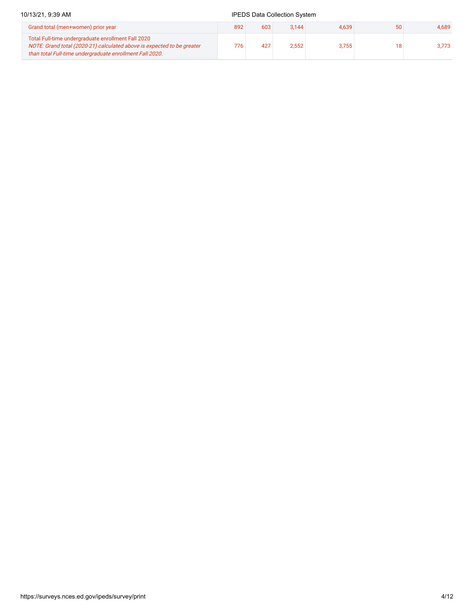### 10/13/21, 9:39 AM **IPEDS** Data Collection System Grand total (men+women) prior year 892 603 3,144 4,639 50 4,689 Total Full-time undergraduate enrollment Fall 2020 NOTE: Grand total (2020-21) calculated above is expected to be greater than total Full-time undergraduate enrollment Fall 2020. 776 427 2,552 3,755 18 3,773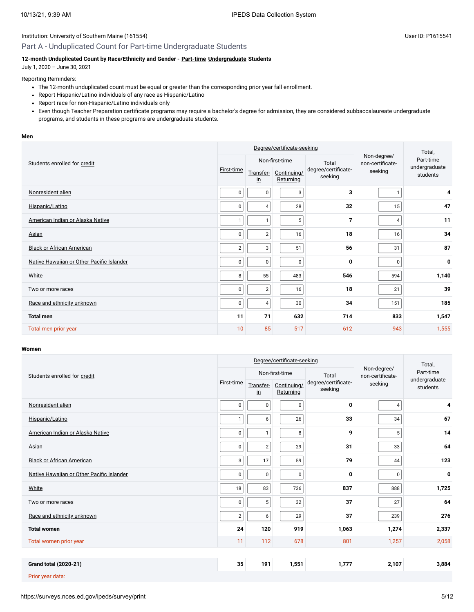# Part A - Unduplicated Count for Part-time Undergraduate Students

### **12-month Unduplicated Count by Race/Ethnicity and Gender - [Part-time](javascript:openglossary(469)) [Undergraduate](javascript:openglossary(677)) Students**

July 1, 2020 – June 30, 2021

### Reporting Reminders:

- The 12-month unduplicated count must be equal or greater than the corresponding prior year fall enrollment.
- Report Hispanic/Latino individuals of any race as Hispanic/Latino
- Report race for non-Hispanic/Latino individuals only
- Even though Teacher Preparation certificate programs may require a bachelor's degree for admission, they are considered subbaccalaureate undergraduate programs, and students in these programs are undergraduate students.

### **Men**

|                                           | Degree/certificate-seeking |                            |                          |                                |                                 | Total,                    |  |
|-------------------------------------------|----------------------------|----------------------------|--------------------------|--------------------------------|---------------------------------|---------------------------|--|
| Students enrolled for credit              |                            | Non-first-time             |                          | Total                          | Non-degree/<br>non-certificate- | Part-time                 |  |
|                                           | First-time                 | Transfer-<br>$\mathsf{in}$ | Continuing/<br>Returning | degree/certificate-<br>seeking | seeking                         | undergraduate<br>students |  |
| Nonresident alien                         | $\mathbf{0}$               | $\pmb{0}$                  | 3                        | 3                              |                                 | 4                         |  |
| Hispanic/Latino                           | $\mathbf 0$                | $\overline{4}$             | 28                       | 32                             | 15                              | 47                        |  |
| American Indian or Alaska Native          | $\mathbf{1}$               |                            | $5\phantom{.0}$          | $\overline{7}$                 | 4                               | 11                        |  |
| Asian                                     | $\mathbf{0}$               | $\overline{2}$             | 16                       | 18                             | 16                              | 34                        |  |
| <b>Black or African American</b>          | $\overline{2}$             | 3                          | 51                       | 56                             | 31                              | 87                        |  |
| Native Hawaiian or Other Pacific Islander | $\mathbf 0$                | $\pmb{0}$                  | $\pmb{0}$                | 0                              | 0                               | $\mathbf 0$               |  |
| White                                     | 8                          | 55                         | 483                      | 546                            | 594                             | 1,140                     |  |
| Two or more races                         | $\mathbf{0}$               | $\overline{2}$             | 16                       | 18                             | 21                              | 39                        |  |
| Race and ethnicity unknown                | $\pmb{0}$                  | $\overline{4}$             | 30                       | 34                             | 151                             | 185                       |  |
| <b>Total men</b>                          | 11                         | 71                         | 632                      | 714                            | 833                             | 1,547                     |  |
| Total men prior year                      | 10                         | 85                         | 517                      | 612                            | 943                             | 1,555                     |  |

### **Women**

|                                           | Degree/certificate-seeking |                            |                          |                                |                                 | Total,                    |
|-------------------------------------------|----------------------------|----------------------------|--------------------------|--------------------------------|---------------------------------|---------------------------|
| Students enrolled for credit              |                            | Non-first-time             |                          | Total                          | Non-degree/<br>non-certificate- | Part-time                 |
|                                           | First-time                 | Transfer-<br>$\mathsf{in}$ | Continuing/<br>Returning | degree/certificate-<br>seeking | seeking                         | undergraduate<br>students |
| Nonresident alien                         | $\mathbf 0$                | 0                          | $\pmb{0}$                | 0                              | $\overline{4}$                  | 4                         |
| Hispanic/Latino                           | $\mathbf{1}$               | 6                          | 26                       | 33                             | 34                              | 67                        |
| American Indian or Alaska Native          | 0                          | $\mathbf{1}$               | 8                        | 9                              | 5 <sup>1</sup>                  | 14                        |
| Asian                                     | $\mathbf 0$                | $\sqrt{2}$                 | 29                       | 31                             | 33                              | 64                        |
| <b>Black or African American</b>          | 3                          | 17                         | 59                       | 79                             | 44                              | 123                       |
| Native Hawaiian or Other Pacific Islander | $\mathbf 0$                | $\pmb{0}$                  | $\pmb{0}$                | 0                              | 0                               | $\pmb{0}$                 |
| White                                     | 18                         | 83                         | 736                      | 837                            | 888                             | 1,725                     |
| Two or more races                         | 0                          | 5                          | 32                       | 37                             | 27                              | 64                        |
| Race and ethnicity unknown                | $\overline{2}$             | 6                          | 29                       | 37                             | 239                             | 276                       |
| <b>Total women</b>                        | 24                         | 120                        | 919                      | 1,063                          | 1,274                           | 2,337                     |
| Total women prior year                    | 11                         | 112                        | 678                      | 801                            | 1,257                           | 2,058                     |
|                                           |                            |                            |                          |                                |                                 |                           |
| <b>Grand total (2020-21)</b>              | 35                         | 191                        | 1,551                    | 1,777                          | 2,107                           | 3,884                     |
| Prior year data:                          |                            |                            |                          |                                |                                 |                           |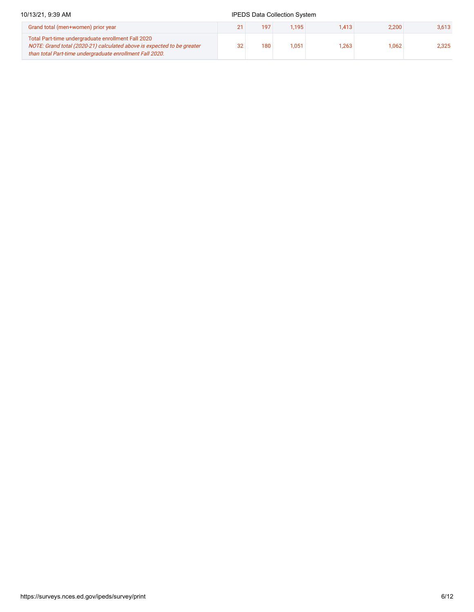# 10/13/21, 9:39 AM **IPEDS** Data Collection System Grand total (men+women) prior year 2,613 Total Part-time undergraduate enrollment Fall 2020

 $32$  180 1,051 1,263 1,062 2,325

NOTE: Grand total (2020-21) calculated above is expected to be greater

than total Part-time undergraduate enrollment Fall 2020.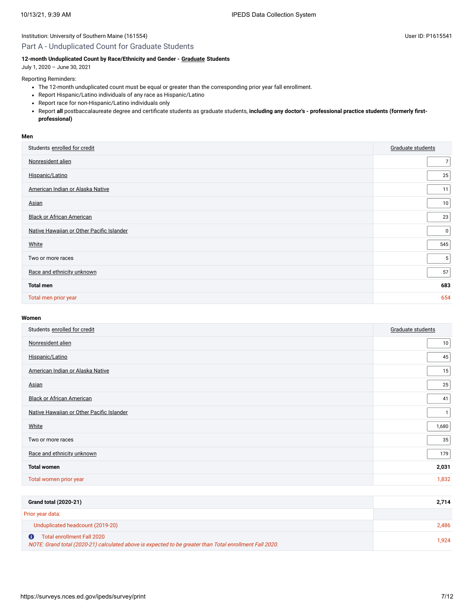# Part A - Unduplicated Count for Graduate Students

# **12-month Unduplicated Count by Race/Ethnicity and Gender - [Graduate](javascript:openglossary(275)) Students**

July 1, 2020 – June 30, 2021

Reporting Reminders:

- The 12-month unduplicated count must be equal or greater than the corresponding prior year fall enrollment.
- Report Hispanic/Latino individuals of any race as Hispanic/Latino
- Report race for non-Hispanic/Latino individuals only
- Report **all** postbaccalaureate degree and certificate students as graduate students, **including any doctor's professional practice students (formerly firstprofessional)**

### **Men**

| Students enrolled for credit              | Graduate students |
|-------------------------------------------|-------------------|
| Nonresident alien                         | $\overline{7}$    |
| Hispanic/Latino                           | 25                |
| American Indian or Alaska Native          | 11                |
| Asian                                     | 10                |
| <b>Black or African American</b>          | 23                |
| Native Hawaiian or Other Pacific Islander | $\overline{0}$    |
| White                                     | 545               |
| Two or more races                         | 5 <sup>5</sup>    |
| Race and ethnicity unknown                | 57                |
| <b>Total men</b>                          | 683               |
| Total men prior year                      | 654               |

# **Women**

| Students enrolled for credit              | Graduate students |
|-------------------------------------------|-------------------|
| Nonresident alien                         | 10                |
| Hispanic/Latino                           | 45                |
| American Indian or Alaska Native          | 15                |
| Asian                                     | 25                |
| <b>Black or African American</b>          | 41                |
| Native Hawaiian or Other Pacific Islander | $\mathbf{1}$      |
| White                                     | 1,680             |
| Two or more races                         | 35                |
| Race and ethnicity unknown                | 179               |
| <b>Total women</b>                        | 2,031             |
| Total women prior year                    | 1,832             |
|                                           |                   |

| Grand total (2020-21)                                                                                                                 | 2.714 |
|---------------------------------------------------------------------------------------------------------------------------------------|-------|
| Prior year data:                                                                                                                      |       |
| Unduplicated headcount (2019-20)                                                                                                      | 2.486 |
| Total enrollment Fall 2020<br>NOTE: Grand total (2020-21) calculated above is expected to be greater than Total enrollment Fall 2020. | 1.924 |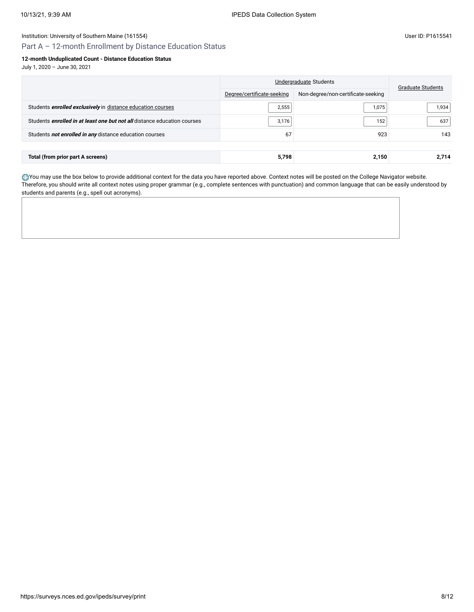Part A – 12-month Enrollment by Distance Education Status

# **12-month Unduplicated Count - Distance Education Status**

July 1, 2020 – June 30, 2021

|                                                                                 | Undergraduate Students     | <b>Graduate Students</b>           |       |
|---------------------------------------------------------------------------------|----------------------------|------------------------------------|-------|
|                                                                                 | Degree/certificate-seeking | Non-degree/non-certificate-seeking |       |
| Students <b>enrolled exclusively</b> in distance education courses              | 2,555                      | 1,075                              | 1,934 |
| Students <i>enrolled in at least one but not all</i> distance education courses | 3,176                      | 152                                | 637   |
| Students not enrolled in any distance education courses                         | 67                         | 923                                | 143   |
|                                                                                 |                            |                                    |       |
| Total (from prior part A screens)                                               | 5,798                      | 2,150                              | 2.714 |

You may use the box below to provide additional context for the data you have reported above. Context notes will be posted on the College Navigator website. Therefore, you should write all context notes using proper grammar (e.g., complete sentences with punctuation) and common language that can be easily understood by students and parents (e.g., spell out acronyms).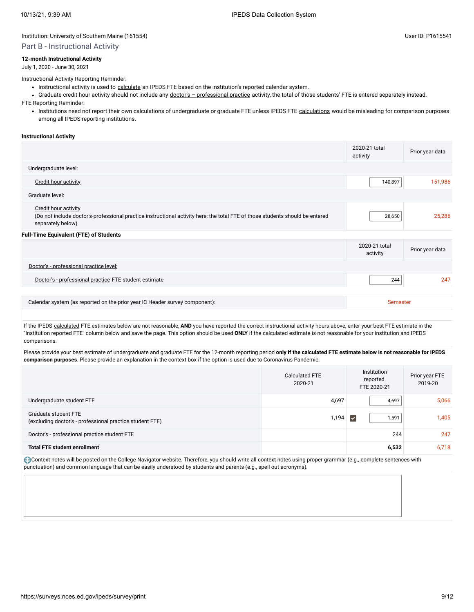### Part B - Instructional Activity

### **12-month Instructional Activity**

July 1, 2020 - June 30, 2021

Instructional Activity Reporting Reminder:

- Instructional activity is used to [calculate](javascript:openglossary(853)) an IPEDS FTE based on the institution's reported calendar system.
- Graduate credit hour activity should not include any doctor's [professional](javascript:openglossary(942)) practice activity, the total of those students' FTE is entered separately instead.

FTE Reporting Reminder:

• Institutions need not report their own [calculations](javascript:openglossary(853)) of undergraduate or graduate FTE unless IPEDS FTE calculations would be misleading for comparison purposes among all IPEDS reporting institutions.

### **Instructional Activity**

|                                                                                                                                                                                   | 2020-21 total<br>activity | Prior year data |
|-----------------------------------------------------------------------------------------------------------------------------------------------------------------------------------|---------------------------|-----------------|
| Undergraduate level:                                                                                                                                                              |                           |                 |
| Credit hour activity                                                                                                                                                              | 140,897                   | 151,986         |
| Graduate level:                                                                                                                                                                   |                           |                 |
| <b>Credit hour activity</b><br>(Do not include doctor's-professional practice instructional activity here; the total FTE of those students should be entered<br>separately below) | 28,650                    | 25,286          |
| <b>Full-Time Equivalent (FTE) of Students</b>                                                                                                                                     |                           |                 |
|                                                                                                                                                                                   | 2020-21 total<br>activity | Prior year data |
| Doctor's - professional practice level:                                                                                                                                           |                           |                 |
| Doctor's - professional practice FTE student estimate                                                                                                                             | 244                       | 247             |
|                                                                                                                                                                                   |                           |                 |
| Calendar system (as reported on the prior year IC Header survey component):                                                                                                       | Semester                  |                 |

If the IPEDS [calculated](javascript:openglossary(853)) FTE estimates below are not reasonable, AND you have reported the correct instructional activity hours above, enter your best FTE estimate in the "Institution reported FTE" column below and save the page. This option should be used **ONLY** if the calculated estimate is not reasonable for your institution and IPEDS comparisons.

Please provide your best estimate of undergraduate and graduate FTE for the 12-month reporting period **only if the calculated FTE estimate below is not reasonable for IPEDS comparison purposes**. Please provide an explanation in the context box if the option is used due to Coronavirus Pandemic.

|                                                                                  | <b>Calculated FTE</b><br>2020-21 | Institution<br>reported<br>FTE 2020-21 | Prior year FTE<br>2019-20 |
|----------------------------------------------------------------------------------|----------------------------------|----------------------------------------|---------------------------|
| Undergraduate student FTE                                                        | 4,697                            | 4,697                                  | 5,066                     |
| Graduate student FTE<br>(excluding doctor's - professional practice student FTE) | 1,194                            | 1,591<br>$\blacktriangledown$          | 1,405                     |
| Doctor's - professional practice student FTE                                     |                                  | 244                                    | 247                       |
| <b>Total FTE student enrollment</b>                                              |                                  | 6,532                                  | 6,718                     |

Context notes will be posted on the College Navigator website. Therefore, you should write all context notes using proper grammar (e.g., complete sentences with punctuation) and common language that can be easily understood by students and parents (e.g., spell out acronyms).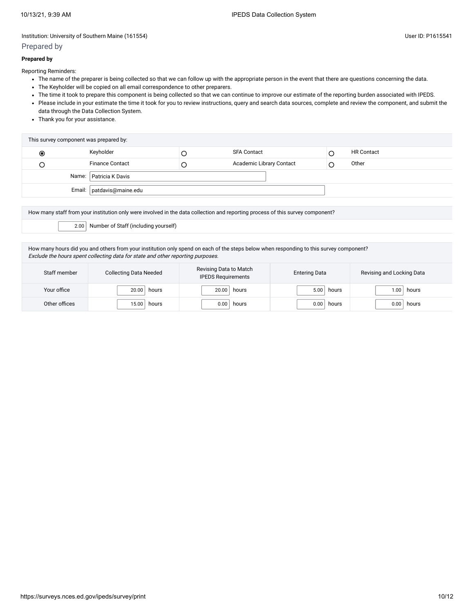# Prepared by

## **Prepared by**

Reporting Reminders:

- The name of the preparer is being collected so that we can follow up with the appropriate person in the event that there are questions concerning the data.
- The Keyholder will be copied on all email correspondence to other preparers.
- The time it took to prepare this component is being collected so that we can continue to improve our estimate of the reporting burden associated with IPEDS.
- Please include in your estimate the time it took for you to review instructions, query and search data sources, complete and review the component, and submit the data through the Data Collection System.
- Thank you for your assistance.

|                                                                    | This survey component was prepared by: |  |  |  |  |  |  |  |
|--------------------------------------------------------------------|----------------------------------------|--|--|--|--|--|--|--|
| Keyholder<br><b>HR Contact</b><br><b>SFA Contact</b><br>$_{\circ}$ |                                        |  |  |  |  |  |  |  |
| <b>Finance Contact</b><br>Academic Library Contact<br>Other        |                                        |  |  |  |  |  |  |  |
| Name: Patricia K Davis                                             |                                        |  |  |  |  |  |  |  |
| Email:   patdavis@maine.edu                                        |                                        |  |  |  |  |  |  |  |

How many staff from your institution only were involved in the data collection and reporting process of this survey component?

2.00 Number of Staff (including yourself)

How many hours did you and others from your institution only spend on each of the steps below when responding to this survey component? Exclude the hours spent collecting data for state and other reporting purposes.

| Staff member  | <b>Collecting Data Needed</b> | Revising Data to Match<br><b>IPEDS Requirements</b> | <b>Entering Data</b> | Revising and Locking Data |
|---------------|-------------------------------|-----------------------------------------------------|----------------------|---------------------------|
| Your office   | 20.00                         | 20.00                                               | 5.00                 | hours                     |
|               | hours                         | hours                                               | hours                | .00.                      |
| Other offices | 15.00                         | 0.00                                                | 0.00                 | 0.00                      |
|               | hours                         | hours                                               | hours                | hours                     |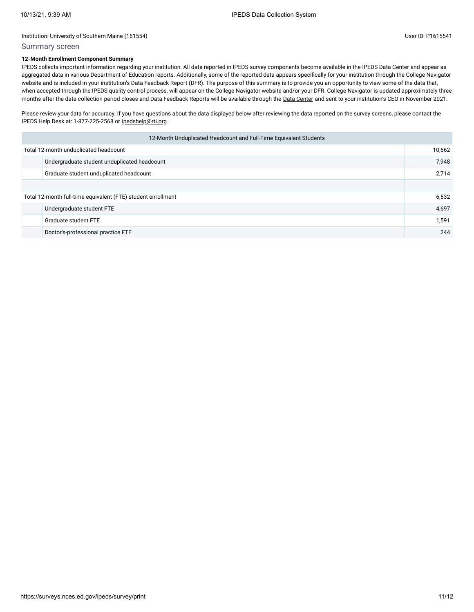# Summary screen

# **12-Month Enrollment Component Summary**

IPEDS collects important information regarding your institution. All data reported in IPEDS survey components become available in the IPEDS Data Center and appear as aggregated data in various Department of Education reports. Additionally, some of the reported data appears specifically for your institution through the College Navigator website and is included in your institution's Data Feedback Report (DFR). The purpose of this summary is to provide you an opportunity to view some of the data that, when accepted through the IPEDS quality control process, will appear on the College Navigator website and/or your DFR. College Navigator is updated approximately three months after the data collection period closes and Data Feedback Reports will be available through the Data [Center](https://nces.ed.gov/ipeds/use-the-data) and sent to your institution's CEO in November 2021.

Please review your data for accuracy. If you have questions about the data displayed below after reviewing the data reported on the survey screens, please contact the IPEDS Help Desk at: 1-877-225-2568 or [ipedshelp@rti.org.](mailto:ipedshelp@rti.org)

| 12-Month Unduplicated Headcount and Full-Time Equivalent Students |                                              |       |  |  |
|-------------------------------------------------------------------|----------------------------------------------|-------|--|--|
| Total 12-month unduplicated headcount                             |                                              |       |  |  |
|                                                                   | Undergraduate student unduplicated headcount | 7,948 |  |  |
|                                                                   | Graduate student unduplicated headcount      | 2,714 |  |  |
|                                                                   |                                              |       |  |  |
| Total 12-month full-time equivalent (FTE) student enrollment      |                                              | 6,532 |  |  |
|                                                                   | Undergraduate student FTE                    | 4,697 |  |  |
|                                                                   | Graduate student FTE                         | 1,591 |  |  |
|                                                                   | Doctor's-professional practice FTE           | 244   |  |  |